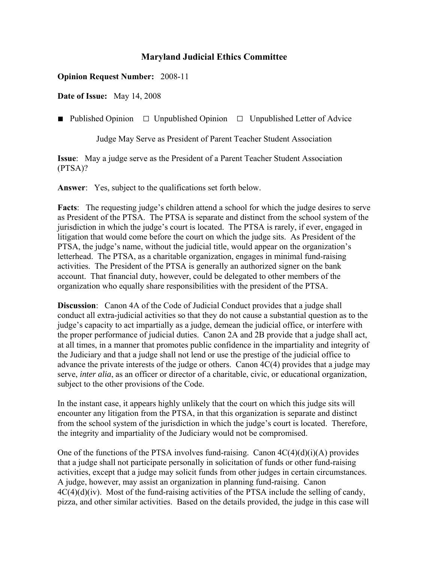## **Maryland Judicial Ethics Committee**

## **Opinion Request Number:** 2008-11

**Date of Issue:** May 14, 2008

■ Published Opinion □ Unpublished Opinion □ Unpublished Letter of Advice

Judge May Serve as President of Parent Teacher Student Association

**Issue**: May a judge serve as the President of a Parent Teacher Student Association (PTSA)?

**Answer**: Yes, subject to the qualifications set forth below.

**Facts**: The requesting judge's children attend a school for which the judge desires to serve as President of the PTSA. The PTSA is separate and distinct from the school system of the jurisdiction in which the judge's court is located. The PTSA is rarely, if ever, engaged in litigation that would come before the court on which the judge sits. As President of the PTSA, the judge's name, without the judicial title, would appear on the organization's letterhead. The PTSA, as a charitable organization, engages in minimal fund-raising activities. The President of the PTSA is generally an authorized signer on the bank account. That financial duty, however, could be delegated to other members of the organization who equally share responsibilities with the president of the PTSA.

**Discussion**: Canon 4A of the Code of Judicial Conduct provides that a judge shall conduct all extra-judicial activities so that they do not cause a substantial question as to the judge's capacity to act impartially as a judge, demean the judicial office, or interfere with the proper performance of judicial duties. Canon 2A and 2B provide that a judge shall act, at all times, in a manner that promotes public confidence in the impartiality and integrity of the Judiciary and that a judge shall not lend or use the prestige of the judicial office to advance the private interests of the judge or others. Canon 4C(4) provides that a judge may serve, *inter alia*, as an officer or director of a charitable, civic, or educational organization, subject to the other provisions of the Code.

In the instant case, it appears highly unlikely that the court on which this judge sits will encounter any litigation from the PTSA, in that this organization is separate and distinct from the school system of the jurisdiction in which the judge's court is located. Therefore, the integrity and impartiality of the Judiciary would not be compromised.

One of the functions of the PTSA involves fund-raising. Canon  $4C(4)(d)(i)(A)$  provides that a judge shall not participate personally in solicitation of funds or other fund-raising activities, except that a judge may solicit funds from other judges in certain circumstances. A judge, however, may assist an organization in planning fund-raising. Canon  $4C(4)(d)(iv)$ . Most of the fund-raising activities of the PTSA include the selling of candy, pizza, and other similar activities. Based on the details provided, the judge in this case will